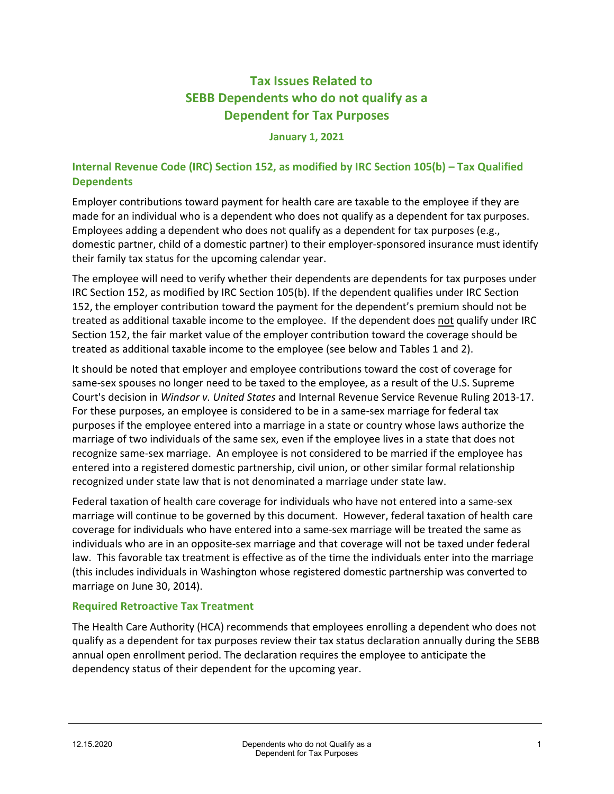# **Tax Issues Related to SEBB Dependents who do not qualify as a Dependent for Tax Purposes**

#### **January 1, 2021**

### **Internal Revenue Code (IRC) Section 152, as modified by IRC Section 105(b) – Tax Qualified Dependents**

Employer contributions toward payment for health care are taxable to the employee if they are made for an individual who is a dependent who does not qualify as a dependent for tax purposes. Employees adding a dependent who does not qualify as a dependent for tax purposes (e.g., domestic partner, child of a domestic partner) to their employer-sponsored insurance must identify their family tax status for the upcoming calendar year.

The employee will need to verify whether their dependents are dependents for tax purposes under IRC Section 152, as modified by IRC Section 105(b). If the dependent qualifies under IRC Section 152, the employer contribution toward the payment for the dependent's premium should not be treated as additional taxable income to the employee. If the dependent does not qualify under IRC Section 152, the fair market value of the employer contribution toward the coverage should be treated as additional taxable income to the employee (see below and Tables 1 and 2).

It should be noted that employer and employee contributions toward the cost of coverage for same-sex spouses no longer need to be taxed to the employee, as a result of the U.S. Supreme Court's decision in *Windsor v. United States* and Internal Revenue Service Revenue Ruling 2013-17. For these purposes, an employee is considered to be in a same-sex marriage for federal tax purposes if the employee entered into a marriage in a state or country whose laws authorize the marriage of two individuals of the same sex, even if the employee lives in a state that does not recognize same-sex marriage. An employee is not considered to be married if the employee has entered into a registered domestic partnership, civil union, or other similar formal relationship recognized under state law that is not denominated a marriage under state law.

Federal taxation of health care coverage for individuals who have not entered into a same-sex marriage will continue to be governed by this document. However, federal taxation of health care coverage for individuals who have entered into a same-sex marriage will be treated the same as individuals who are in an opposite-sex marriage and that coverage will not be taxed under federal law. This favorable tax treatment is effective as of the time the individuals enter into the marriage (this includes individuals in Washington whose registered domestic partnership was converted to marriage on June 30, 2014).

### **Required Retroactive Tax Treatment**

The Health Care Authority (HCA) recommends that employees enrolling a dependent who does not qualify as a dependent for tax purposes review their tax status declaration annually during the SEBB annual open enrollment period. The declaration requires the employee to anticipate the dependency status of their dependent for the upcoming year.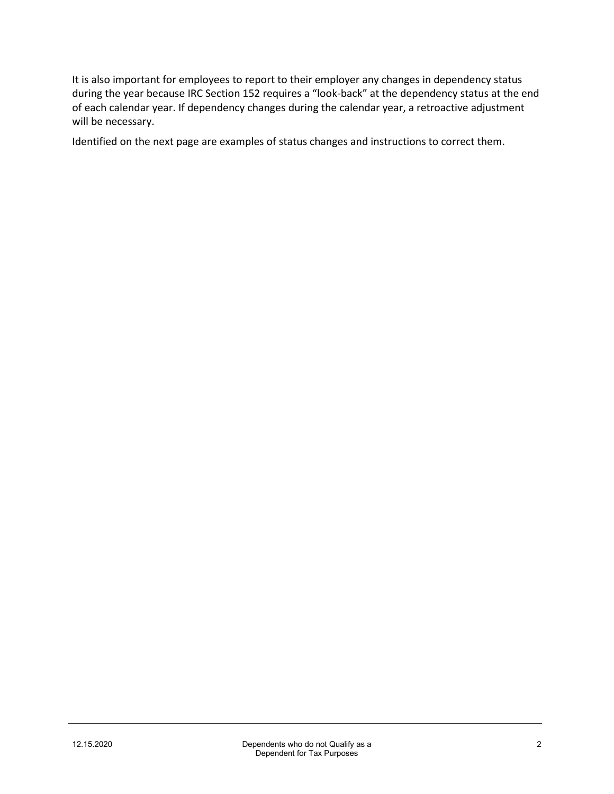It is also important for employees to report to their employer any changes in dependency status during the year because IRC Section 152 requires a "look-back" at the dependency status at the end of each calendar year. If dependency changes during the calendar year, a retroactive adjustment will be necessary.

Identified on the next page are examples of status changes and instructions to correct them.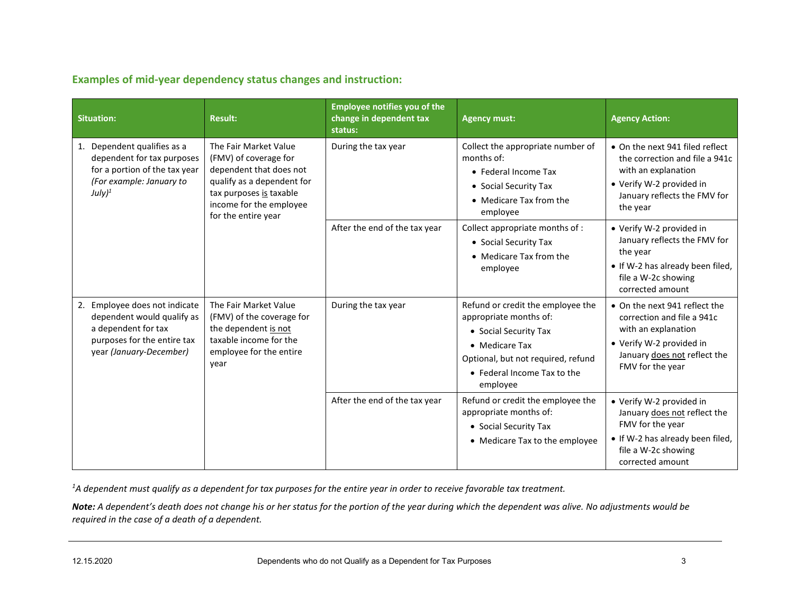**Examples of mid-year dependency status changes and instruction:**

| <b>Situation:</b>                                                                                                                            | <b>Result:</b>                                                                                                                                                                       | <b>Employee notifies you of the</b><br>change in dependent tax<br>status: | <b>Agency must:</b>                                                                                                                                                                     | <b>Agency Action:</b>                                                                                                                                              |
|----------------------------------------------------------------------------------------------------------------------------------------------|--------------------------------------------------------------------------------------------------------------------------------------------------------------------------------------|---------------------------------------------------------------------------|-----------------------------------------------------------------------------------------------------------------------------------------------------------------------------------------|--------------------------------------------------------------------------------------------------------------------------------------------------------------------|
| 1. Dependent qualifies as a<br>dependent for tax purposes<br>for a portion of the tax year<br>(For example: January to<br>July) <sup>1</sup> | The Fair Market Value<br>(FMV) of coverage for<br>dependent that does not<br>qualify as a dependent for<br>tax purposes is taxable<br>income for the employee<br>for the entire year | During the tax year                                                       | Collect the appropriate number of<br>months of:<br>• Federal Income Tax<br>• Social Security Tax<br>• Medicare Tax from the<br>employee                                                 | • On the next 941 filed reflect<br>the correction and file a 941c<br>with an explanation<br>• Verify W-2 provided in<br>January reflects the FMV for<br>the year   |
|                                                                                                                                              |                                                                                                                                                                                      | After the end of the tax year                                             | Collect appropriate months of :<br>• Social Security Tax<br>• Medicare Tax from the<br>employee                                                                                         | • Verify W-2 provided in<br>January reflects the FMV for<br>the year<br>• If W-2 has already been filed,<br>file a W-2c showing<br>corrected amount                |
| 2. Employee does not indicate<br>dependent would qualify as<br>a dependent for tax<br>purposes for the entire tax<br>year (January-December) | The Fair Market Value<br>(FMV) of the coverage for<br>the dependent is not<br>taxable income for the<br>employee for the entire<br>year                                              | During the tax year                                                       | Refund or credit the employee the<br>appropriate months of:<br>• Social Security Tax<br>• Medicare Tax<br>Optional, but not required, refund<br>• Federal Income Tax to the<br>employee | • On the next 941 reflect the<br>correction and file a 941c<br>with an explanation<br>• Verify W-2 provided in<br>January does not reflect the<br>FMV for the year |
|                                                                                                                                              |                                                                                                                                                                                      | After the end of the tax year                                             | Refund or credit the employee the<br>appropriate months of:<br>• Social Security Tax<br>• Medicare Tax to the employee                                                                  | • Verify W-2 provided in<br>January does not reflect the<br>FMV for the year<br>• If W-2 has already been filed,<br>file a W-2c showing<br>corrected amount        |

*1 A dependent must qualify as a dependent for tax purposes for the entire year in order to receive favorable tax treatment.*

*Note: A dependent's death does not change his or her status for the portion of the year during which the dependent was alive. No adjustments would be required in the case of a death of a dependent.*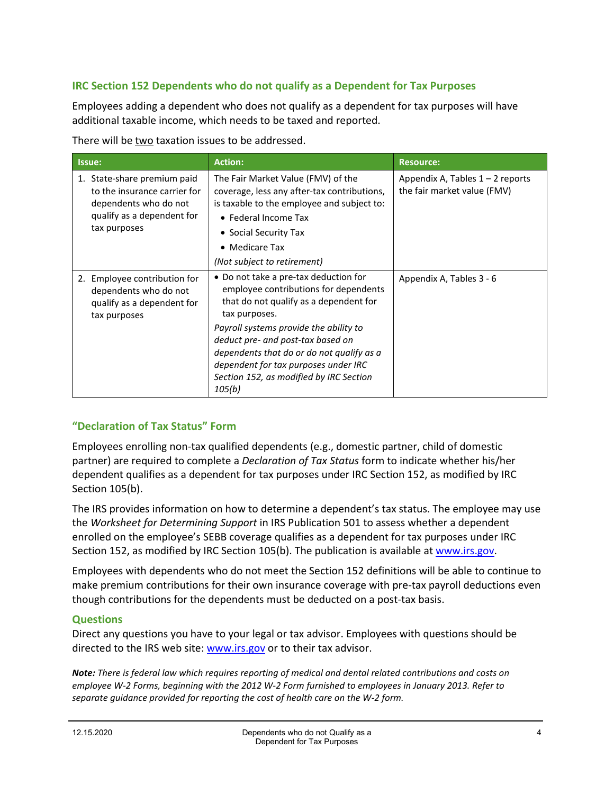## **IRC Section 152 Dependents who do not qualify as a Dependent for Tax Purposes**

Employees adding a dependent who does not qualify as a dependent for tax purposes will have additional taxable income, which needs to be taxed and reported.

There will be two taxation issues to be addressed.

| Issue:                                                                                                                             | <b>Action:</b>                                                                                                                                                                                                                                                                                                                                                     | <b>Resource:</b>                                                  |
|------------------------------------------------------------------------------------------------------------------------------------|--------------------------------------------------------------------------------------------------------------------------------------------------------------------------------------------------------------------------------------------------------------------------------------------------------------------------------------------------------------------|-------------------------------------------------------------------|
| 1. State-share premium paid<br>to the insurance carrier for<br>dependents who do not<br>qualify as a dependent for<br>tax purposes | The Fair Market Value (FMV) of the<br>coverage, less any after-tax contributions,<br>is taxable to the employee and subject to:<br>• Federal Income Tax<br>• Social Security Tax<br>• Medicare Tax<br>(Not subject to retirement)                                                                                                                                  | Appendix A, Tables $1 - 2$ reports<br>the fair market value (FMV) |
| 2. Employee contribution for<br>dependents who do not<br>qualify as a dependent for<br>tax purposes                                | • Do not take a pre-tax deduction for<br>employee contributions for dependents<br>that do not qualify as a dependent for<br>tax purposes.<br>Payroll systems provide the ability to<br>deduct pre- and post-tax based on<br>dependents that do or do not qualify as a<br>dependent for tax purposes under IRC<br>Section 152, as modified by IRC Section<br>105(b) | Appendix A, Tables 3 - 6                                          |

### **"Declaration of Tax Status" Form**

Employees enrolling non-tax qualified dependents (e.g., domestic partner, child of domestic partner) are required to complete a *Declaration of Tax Status* form to indicate whether his/her dependent qualifies as a dependent for tax purposes under IRC Section 152, as modified by IRC Section 105(b).

The IRS provides information on how to determine a dependent's tax status. The employee may use the *Worksheet for Determining Support* in IRS Publication 501 to assess whether a dependent enrolled on the employee's SEBB coverage qualifies as a dependent for tax purposes under IRC Section 152, as modified by IRC Section 105(b). The publication is available a[t www.irs.gov.](http://www.irs.gov/)

Employees with dependents who do not meet the Section 152 definitions will be able to continue to make premium contributions for their own insurance coverage with pre-tax payroll deductions even though contributions for the dependents must be deducted on a post-tax basis.

### **Questions**

Direct any questions you have to your legal or tax advisor. Employees with questions should be directed to the IRS web site: [www.irs.gov](http://www.irs.gov/) or to their tax advisor.

*Note: There is federal law which requires reporting of medical and dental related contributions and costs on employee W-2 Forms, beginning with the 2012 W-2 Form furnished to employees in January 2013. Refer to separate guidance provided for reporting the cost of health care on the W-2 form.*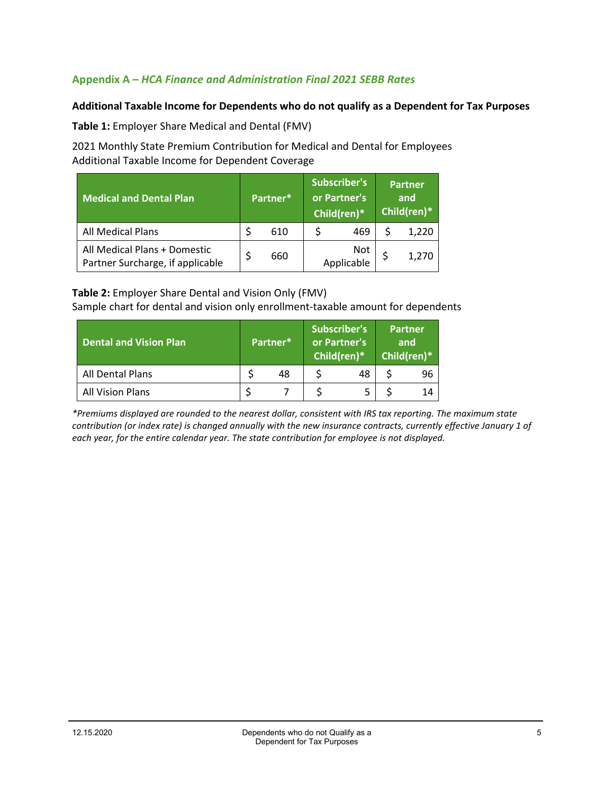### **Appendix A –** *HCA Finance and Administration Final 2021 SEBB Rates*

### **Additional Taxable Income for Dependents who do not qualify as a Dependent for Tax Purposes**

**Table 1:** Employer Share Medical and Dental (FMV)

2021 Monthly State Premium Contribution for Medical and Dental for Employees Additional Taxable Income for Dependent Coverage

| <b>Medical and Dental Plan</b>                                   | Partner* |     | <b>Subscriber's</b><br>or Partner's<br>Child(ren)* |                   | <b>Partner</b><br>and<br>Child(ren)* |       |
|------------------------------------------------------------------|----------|-----|----------------------------------------------------|-------------------|--------------------------------------|-------|
| All Medical Plans                                                |          | 610 |                                                    | 469               |                                      | 1,220 |
| All Medical Plans + Domestic<br>Partner Surcharge, if applicable |          | 660 |                                                    | Not<br>Applicable |                                      | 1,270 |

#### **Table 2:** Employer Share Dental and Vision Only (FMV)

Sample chart for dental and vision only enrollment-taxable amount for dependents

| <b>Dental and Vision Plan</b> | Partner* |    | Subscriber's<br>or Partner's<br>Child(ren)* |    | <b>Partner</b><br>and<br>Child(ren)* |    |
|-------------------------------|----------|----|---------------------------------------------|----|--------------------------------------|----|
| All Dental Plans              |          | 48 |                                             | 48 |                                      | 96 |
| <b>All Vision Plans</b>       |          |    |                                             |    |                                      | 14 |

*\*Premiums displayed are rounded to the nearest dollar, consistent with IRS tax reporting. The maximum state contribution (or index rate) is changed annually with the new insurance contracts, currently effective January 1 of each year, for the entire calendar year. The state contribution for employee is not displayed.*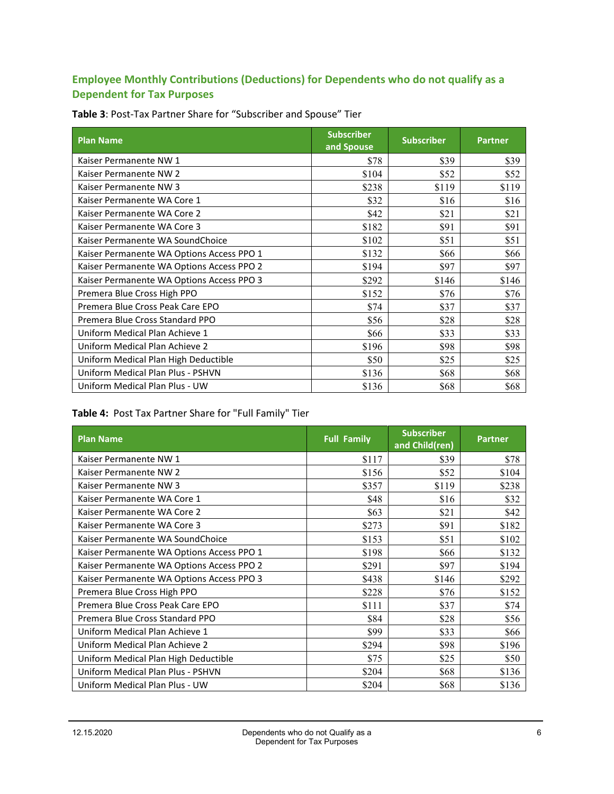## **Employee Monthly Contributions (Deductions) for Dependents who do not qualify as a Dependent for Tax Purposes**

| <b>Plan Name</b>                          | <b>Subscriber</b><br>and Spouse | <b>Subscriber</b> | <b>Partner</b> |
|-------------------------------------------|---------------------------------|-------------------|----------------|
| Kaiser Permanente NW 1                    | \$78                            | \$39              | \$39           |
| Kaiser Permanente NW 2                    | \$104                           | \$52              | \$52           |
| Kaiser Permanente NW 3                    | \$238                           | \$119             | \$119          |
| Kaiser Permanente WA Core 1               | \$32                            | \$16              | \$16           |
| Kaiser Permanente WA Core 2               | \$42                            | \$21              | \$21           |
| Kaiser Permanente WA Core 3               | \$182                           | \$91              | \$91           |
| Kaiser Permanente WA SoundChoice          | \$102                           | \$51              | \$51           |
| Kaiser Permanente WA Options Access PPO 1 | \$132                           | \$66              | \$66           |
| Kaiser Permanente WA Options Access PPO 2 | \$194                           | \$97              | \$97           |
| Kaiser Permanente WA Options Access PPO 3 | \$292                           | \$146             | \$146          |
| Premera Blue Cross High PPO               | \$152                           | \$76              | \$76           |
| Premera Blue Cross Peak Care EPO          | \$74                            | \$37              | \$37           |
| Premera Blue Cross Standard PPO           | \$56                            | \$28              | \$28           |
| Uniform Medical Plan Achieve 1            | \$66                            | \$33              | \$33           |
| Uniform Medical Plan Achieve 2            | \$196                           | \$98              | \$98           |
| Uniform Medical Plan High Deductible      | \$50                            | \$25              | \$25           |
| Uniform Medical Plan Plus - PSHVN         | \$136                           | \$68              | \$68           |
| Uniform Medical Plan Plus - UW            | \$136                           | \$68              | \$68           |

**Table 3**: Post-Tax Partner Share for "Subscriber and Spouse" Tier

## **Table 4:** Post Tax Partner Share for "Full Family" Tier

| <b>Plan Name</b>                          | <b>Full Family</b> | <b>Subscriber</b><br>and Child(ren) | <b>Partner</b> |
|-------------------------------------------|--------------------|-------------------------------------|----------------|
| Kaiser Permanente NW 1                    | \$117              | \$39                                | \$78           |
| Kaiser Permanente NW 2                    | \$156              | \$52                                | \$104          |
| Kaiser Permanente NW 3                    | \$357              | \$119                               | \$238          |
| Kaiser Permanente WA Core 1               | \$48               | \$16                                | \$32           |
| Kaiser Permanente WA Core 2               | \$63               | \$21                                | \$42           |
| Kaiser Permanente WA Core 3               | \$273              | \$91                                | \$182          |
| Kaiser Permanente WA SoundChoice          | \$153              | \$51                                | \$102          |
| Kaiser Permanente WA Options Access PPO 1 | \$198              | \$66                                | \$132          |
| Kaiser Permanente WA Options Access PPO 2 | \$291              | \$97                                | \$194          |
| Kaiser Permanente WA Options Access PPO 3 | \$438              | \$146                               | \$292          |
| Premera Blue Cross High PPO               | \$228              | \$76                                | \$152          |
| Premera Blue Cross Peak Care EPO          | \$111              | \$37                                | \$74           |
| Premera Blue Cross Standard PPO           | \$84               | \$28                                | \$56           |
| Uniform Medical Plan Achieve 1            | \$99               | \$33                                | \$66           |
| Uniform Medical Plan Achieve 2            | \$294              | \$98                                | \$196          |
| Uniform Medical Plan High Deductible      | \$75               | \$25                                | \$50           |
| Uniform Medical Plan Plus - PSHVN         | \$204              | \$68                                | \$136          |
| Uniform Medical Plan Plus - UW            | \$204              | \$68                                | \$136          |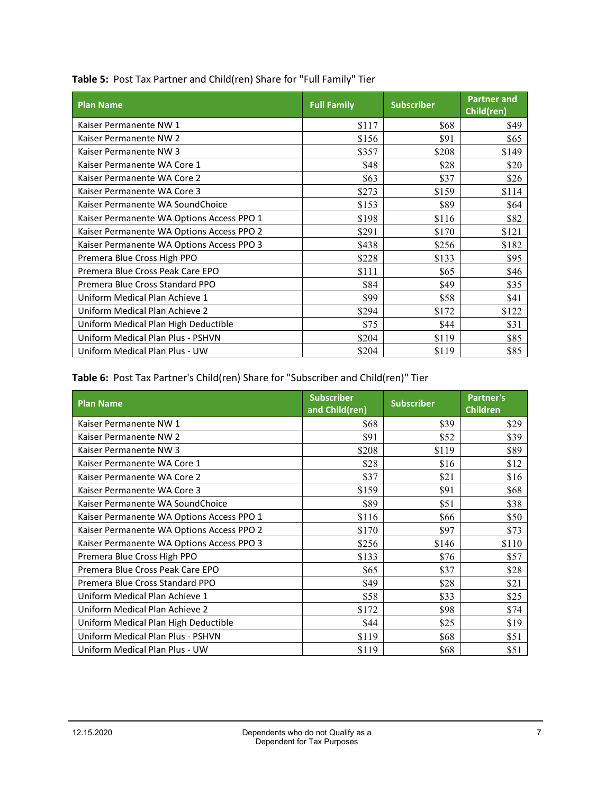| <b>Plan Name</b>                          | <b>Full Family</b> | <b>Subscriber</b> | <b>Partner and</b><br>Child(ren) |
|-------------------------------------------|--------------------|-------------------|----------------------------------|
| Kaiser Permanente NW 1                    | \$117              | \$68              | \$49                             |
| Kaiser Permanente NW 2                    | \$156              | \$91              | \$65                             |
| Kaiser Permanente NW 3                    | \$357              | \$208             | \$149                            |
| Kaiser Permanente WA Core 1               | \$48               | \$28              | \$20                             |
| Kaiser Permanente WA Core 2               | \$63               | \$37              | \$26                             |
| Kaiser Permanente WA Core 3               | \$273              | \$159             | \$114                            |
| Kaiser Permanente WA SoundChoice          | \$153              | \$89              | \$64                             |
| Kaiser Permanente WA Options Access PPO 1 | \$198              | \$116             | \$82                             |
| Kaiser Permanente WA Options Access PPO 2 | \$291              | \$170             | \$121                            |
| Kaiser Permanente WA Options Access PPO 3 | \$438              | \$256             | \$182                            |
| Premera Blue Cross High PPO               | \$228              | \$133             | \$95                             |
| Premera Blue Cross Peak Care EPO          | \$111              | \$65              | \$46                             |
| Premera Blue Cross Standard PPO           | \$84               | \$49              | \$35                             |
| Uniform Medical Plan Achieve 1            | \$99               | \$58              | \$41                             |
| Uniform Medical Plan Achieve 2            | \$294              | \$172             | \$122                            |
| Uniform Medical Plan High Deductible      | \$75               | \$44              | \$31                             |
| Uniform Medical Plan Plus - PSHVN         | \$204              | \$119             | \$85                             |
| Uniform Medical Plan Plus - UW            | \$204              | \$119             | \$85                             |

**Table 5:** Post Tax Partner and Child(ren) Share for "Full Family" Tier

**Table 6:** Post Tax Partner's Child(ren) Share for "Subscriber and Child(ren)" Tier

| <b>Plan Name</b>                          | <b>Subscriber</b><br>and Child(ren) | <b>Subscriber</b> | <b>Partner's</b><br><b>Children</b> |
|-------------------------------------------|-------------------------------------|-------------------|-------------------------------------|
| Kaiser Permanente NW 1                    | \$68                                | \$39              | \$29                                |
| Kaiser Permanente NW 2                    | \$91                                | \$52              | \$39                                |
| Kaiser Permanente NW 3                    | \$208                               | \$119             | \$89                                |
| Kaiser Permanente WA Core 1               | \$28                                | \$16              | \$12                                |
| Kaiser Permanente WA Core 2               | \$37                                | \$21              | \$16                                |
| Kaiser Permanente WA Core 3               | \$159                               | \$91              | \$68                                |
| Kaiser Permanente WA SoundChoice          | \$89                                | \$51              | \$38                                |
| Kaiser Permanente WA Options Access PPO 1 | \$116                               | \$66              | \$50                                |
| Kaiser Permanente WA Options Access PPO 2 | \$170                               | \$97              | \$73                                |
| Kaiser Permanente WA Options Access PPO 3 | \$256                               | \$146             | \$110                               |
| Premera Blue Cross High PPO               | \$133                               | \$76              | \$57                                |
| Premera Blue Cross Peak Care EPO          | \$65                                | \$37              | \$28                                |
| Premera Blue Cross Standard PPO           | \$49                                | \$28              | \$21                                |
| Uniform Medical Plan Achieve 1            | \$58                                | \$33              | \$25                                |
| Uniform Medical Plan Achieve 2            | \$172                               | \$98              | \$74                                |
| Uniform Medical Plan High Deductible      | \$44                                | \$25              | \$19                                |
| Uniform Medical Plan Plus - PSHVN         | \$119                               | \$68              | \$51                                |
| Uniform Medical Plan Plus - UW            | \$119                               | \$68              | \$51                                |